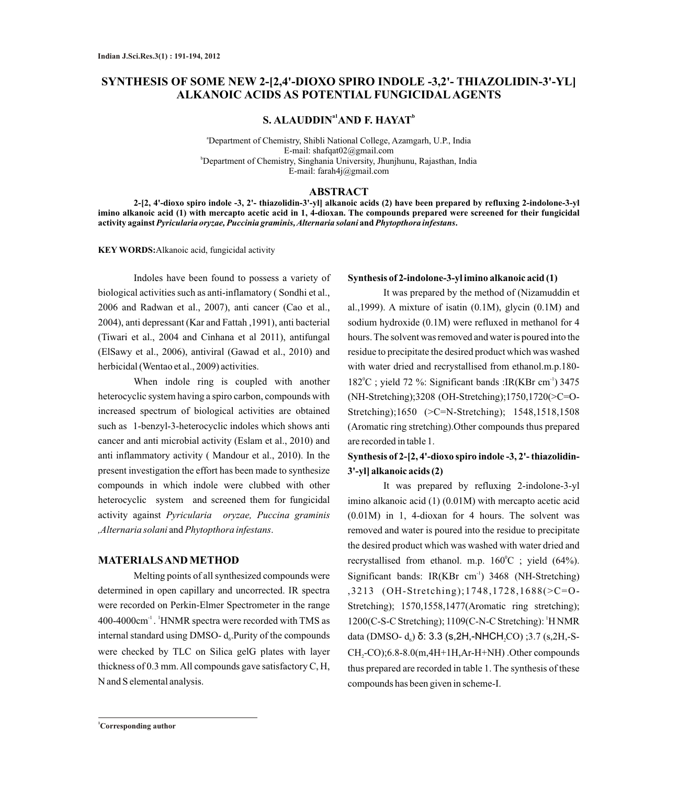# **SYNTHESIS OF SOME NEW 2-[2,4'-DIOXO SPIRO INDOLE -3,2'- THIAZOLIDIN-3'-YL] ALKANOIC ACIDS AS POTENTIAL FUNGICIDALAGENTS**

 ${\bf S.~ALAUDDIN}^{\rm a1}{\bf AND}~{\bf F.~HAYAT}^{\rm b}$ 

<sup>a</sup>Department of Chemistry, Shibli National College, Azamgarh, U.P., India E-mail: shafqat02@gmail.com <sup>b</sup>Department of Chemistry, Singhania University, Jhunjhunu, Rajasthan, India E-mail: farah4j@gmail.com

#### **ABSTRACT**

**2-[2, 4'-dioxo spiro indole -3, 2'- thiazolidin-3'-yl] alkanoic acids (2) have been prepared by refluxing 2-indolone-3-yl imino alkanoic acid (1) with mercapto acetic acid in 1, 4-dioxan. The compounds prepared were screened for their fungicidal activity against** *Pyricularia oryzae, Puccinia graminis, Alternaria solani* **and***Phytopthora infestans***.** 

**KEY WORDS:**Alkanoic acid, fungicidal activity

Indoles have been found to possess a variety of biological activities such as anti-inflamatory ( Sondhi et al., 2006 and Radwan et al., 2007), anti cancer (Cao et al., 2004), anti depressant (Kar and Fattah ,1991), anti bacterial (Tiwari et al., 2004 and Cinhana et al 2011), antifungal (ElSawy et al., 2006), antiviral (Gawad et al., 2010) and herbicidal (Wentao et al., 2009) activities.

When indole ring is coupled with another heterocyclic system having a spiro carbon, compounds with increased spectrum of biological activities are obtained such as 1-benzyl-3-heterocyclic indoles which shows anti cancer and anti microbial activity (Eslam et al., 2010) and anti inflammatory activity ( Mandour et al., 2010). In the present investigation the effort has been made to synthesize compounds in which indole were clubbed with other heterocyclic system and screened them for fungicidal activity against *Pyricularia oryzae, Puccina graminis ,Alternaria solani* and*Phytopthora infestans*.

#### **MATERIALS AND METHOD**

Melting points of all synthesized compounds were determined in open capillary and uncorrected. IR spectra were recorded on Perkin-Elmer Spectrometer in the range 400-4000cm<sup>-1</sup>. <sup>1</sup>HNMR spectra were recorded with TMS as internal standard using DMSO- $d_6$ . Purity of the compounds were checked by TLC on Silica gelG plates with layer thickness of 0.3 mm. All compounds gave satisfactory C, H, N and S elemental analysis.

### **Synthesis of 2-indolone-3-yl imino alkanoic acid (1)**

It was prepared by the method of (Nizamuddin et al.,1999). A mixture of isatin  $(0.1M)$ , glycin  $(0.1M)$  and sodium hydroxide (0.1M) were refluxed in methanol for 4 hours. The solvent was removed and water is poured into the residue to precipitate the desired product which was washed with water dried and recrystallised from ethanol.m.p.180-  $182^{\circ}$ C ; yield 72 %: Significant bands :IR(KBr cm<sup>-1</sup>) 3475 (NH-Stretching);3208 (OH-Stretching);1750,1720(>C=O-Stretching);1650 (>C=N-Stretching); 1548,1518,1508 (Aromatic ring stretching).Other compounds thus prepared are recorded in table 1.

# **Synthesis of 2-[2, 4'-dioxo spiro indole -3, 2'- thiazolidin-3'-yl] alkanoic acids (2)**

It was prepared by refluxing 2-indolone-3-yl imino alkanoic acid (1) (0.01M) with mercapto acetic acid (0.01M) in 1, 4-dioxan for 4 hours. The solvent was removed and water is poured into the residue to precipitate the desired product which was washed with water dried and recrystallised from ethanol. m.p.  $160^{\circ}$ C ; yield (64%). Significant bands: IR(KBr cm<sup>-1</sup>) 3468 (NH-Stretching) ,3213 (OH-Stretching);1748,1728,1688(>C=O-Stretching); 1570,1558,1477(Aromatic ring stretching); 1 1200(C-S-C Stretching); 1109(C-N-C Stretching): H NMR data (DMSO-  $d_6$ ) δ: 3.3 (s, 2H,-NHCH<sub>2</sub>CO) ;3.7 (s, 2H,-S- $CH<sub>2</sub>-CO$ ;6.8-8.0(m,4H+1H,Ar-H+NH) .Other compounds thus prepared are recorded in table 1. The synthesis of these compounds has been given in scheme-I.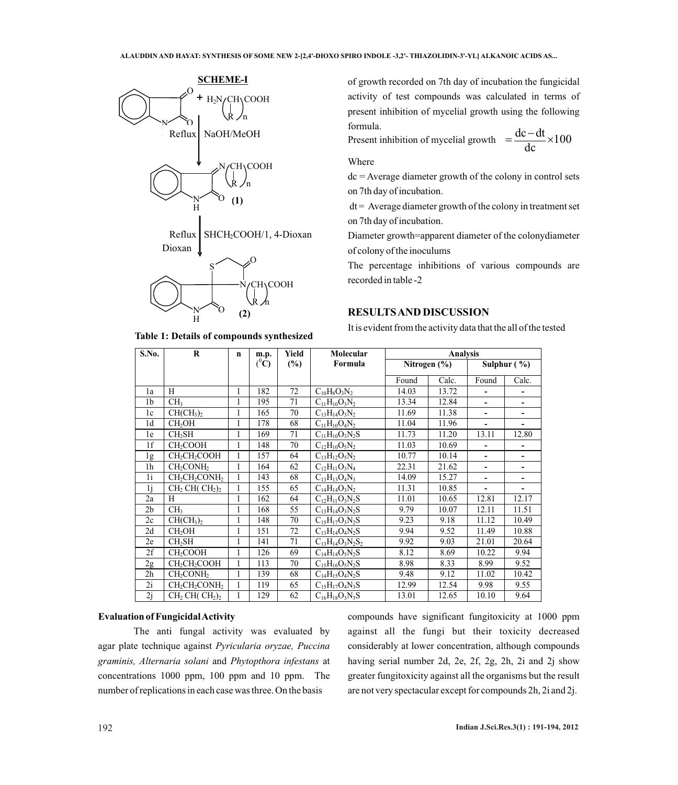

**Table 1: Details of compounds synthesized**

of growth recorded on 7th day of incubation the fungicidal activity of test compounds was calculated in terms of present inhibition of mycelial growth using the following formula.

Present inhibition of mycelial growth  $=\frac{dc - dt}{dc} \times 100$ 

Where

 $dc = Average diameter growth of the colony in control sets$ on 7th day of incubation.

 $dt =$  Average diameter growth of the colony in treatment set on 7th day of incubation.

Diameter growth=apparent diameter of the colonydiameter of colony of the inoculums

The percentage inhibitions of various compounds are recorded in table -2

### **RESULTS AND DISCUSSION**

It is evident from the activity data that the all of the tested

| S.No.          | $\bf{R}$                                          | $\mathbf n$  | m.p.           | Yield  | Molecular                                       | Analysis         |       |                         |       |  |
|----------------|---------------------------------------------------|--------------|----------------|--------|-------------------------------------------------|------------------|-------|-------------------------|-------|--|
|                |                                                   |              | $(^0\text{C})$ | $(\%)$ | Formula                                         | Nitrogen $(\% )$ |       | Sulphur $(\frac{9}{6})$ |       |  |
|                |                                                   |              |                |        |                                                 | Found            | Calc. | Found                   | Calc. |  |
| 1a             | H                                                 | 1            | 182            | 72     | $C_{10}H_8O_3N_2$                               | 14.03            | 13.72 |                         |       |  |
| 1 <sub>b</sub> | CH <sub>3</sub>                                   | 1            | 195            | 71     | $C_{11}H_{10}O_3N_2$                            | 13.34            | 12.84 | ٠                       | ٠     |  |
| 1c             | $\overline{\text{CH}}(\text{CH}_3)_2$             | 1            | 165            | 70     | $C_{13}H_{14}O_3N_2$                            | 11.69            | 11.38 | ۰                       | -     |  |
| 1 <sub>d</sub> | CH <sub>2</sub> OH                                | 1            | 178            | 68     | $C_{11}H_{10}O_4N_2$                            | 11.04            | 11.96 | ÷.                      |       |  |
| 1e             | CH <sub>2</sub> SH                                | 1            | 169            | 71     | $C_{11}H_{10}O_3N_2S$                           | 11.73            | 11.20 | 13.11                   | 12.80 |  |
| 1f             | CH <sub>2</sub> COOH                              | 1            | 148            | 70     | $C_{12}H_{10}O_5N_2$                            | 11.03            | 10.69 | ۰                       |       |  |
| 1g             | CH <sub>2</sub> CH <sub>2</sub> COOH              | 1            | 157            | 64     | $C_{13}H_{12}O_5N_2$                            | 10.77            | 10.14 |                         |       |  |
| 1 <sub>h</sub> | CH <sub>2</sub> CONH <sub>2</sub>                 | 1            | 164            | 62     | $C_{12}H_{11}O_3N_4$                            | 22.31            | 21.62 |                         |       |  |
| 1 <sub>i</sub> | $CH_2CH_2CONH_2$                                  | 1            | 143            | 68     | $C_{13}H_{13}O_4N_3$                            | 14.09            | 15.27 |                         | ۰     |  |
| 1 <sub>i</sub> | $CH2 CH ( CH2)2$                                  | 1            | 155            | 65     | $C_{14}H_{14}O_3N_2$                            | 11.31            | 10.85 | ۰                       | ٠     |  |
| 2a             | H                                                 | 1            | 162            | 64     | $C_{12}H_{11}O_3N_2S$                           | 11.01            | 10.65 | 12.81                   | 12.17 |  |
| 2 <sub>b</sub> | CH <sub>3</sub>                                   | 1            | 168            | 55     | $C_{13}H_{14}O_3N_2S$                           | 9.79             | 10.07 | 12.11                   | 11.51 |  |
| 2c             | CH(CH <sub>3</sub> ) <sub>2</sub>                 | 1            | 148            | 70     | $C_1$ <sub>5</sub> $H_1$ <sub>7</sub> $O_3N_2S$ | 9.23             | 9.18  | 11.12                   | 10.49 |  |
| 2d             | CH <sub>2</sub> OH                                | 1            | 151            | 72     | $C_{13}H_{14}O_4N_2S$                           | 9.94             | 9.52  | 11.49                   | 10.88 |  |
| 2e             | CH <sub>2</sub> SH                                | 1            | 141            | 71     | $C_{13}H_{14}O_3N_2S_2$                         | 9.92             | 9.03  | 21.01                   | 20.64 |  |
| 2f             | CH <sub>2</sub> COOH                              | 1            | 126            | 69     | $C_{14}H_{14}O_5N_2S$                           | 8.12             | 8.69  | 10.22                   | 9.94  |  |
| 2g             | CH <sub>2</sub> CH <sub>2</sub> COOH              | $\mathbf{1}$ | 113            | 70     | $C_{15}H_{16}O_5N_2S$                           | 8.98             | 8.33  | 8.99                    | 9.52  |  |
| 2h             | CH <sub>2</sub> CONH <sub>2</sub>                 | 1            | 139            | 68     | $C_{14}H_{15}O_4N_2S$                           | 9.48             | 9.12  | 11.02                   | 10.42 |  |
| 2i             | CH <sub>2</sub> CH <sub>2</sub> CONH <sub>2</sub> | 1            | 119            | 65     | $C_{15}H_{17}O_4N_3S$                           | 12.99            | 12.54 | 9.98                    | 9.55  |  |
| 2i             | $CH2CH(CH2)2$                                     |              | 129            | 62     | $C_{16}H_{18}O_3N_3S$                           | 13.01            | 12.65 | 10.10                   | 9.64  |  |

### **Evaluation of Fungicidal Activity**

The anti fungal activity was evaluated by agar plate technique against *Pyricularia oryzae, Puccina graminis, Alternaria solani* and *Phytopthora infestans* at concentrations 1000 ppm, 100 ppm and 10 ppm. The number of replications in each case was three. On the basis

compounds have significant fungitoxicity at 1000 ppm against all the fungi but their toxicity decreased considerably at lower concentration, although compounds having serial number 2d, 2e, 2f, 2g, 2h, 2i and 2j show greater fungitoxicity against all the organisms but the result are not very spectacular except for compounds 2h, 2i and 2j.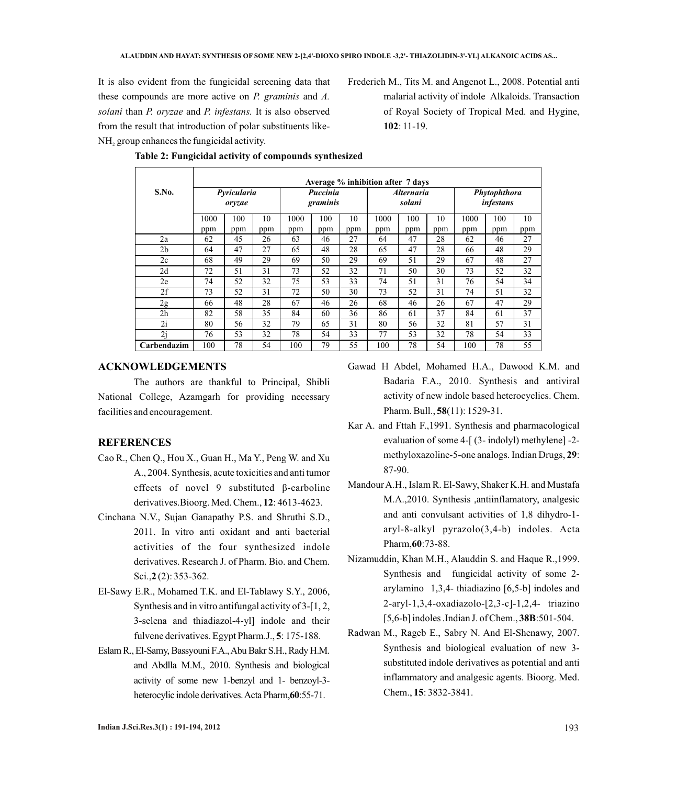It is also evident from the fungicidal screening data that these compounds are more active on *P. graminis* and *A. solani* than *P. oryzae* and *P. infestans.* It is also observed from the result that introduction of polar substituents like- $NH<sub>2</sub>$  group enhances the fungicidal activity.

Frederich M., Tits M. and Angenot L., 2008. Potential anti malarial activity of indole Alkaloids. Transaction of Royal Society of Tropical Med. and Hygine, **102**: 11-19.

|             | Average % inhibition after 7 days |     |     |                      |     |     |                                    |     |     |                           |     |     |
|-------------|-----------------------------------|-----|-----|----------------------|-----|-----|------------------------------------|-----|-----|---------------------------|-----|-----|
| S.No.       | Pyricularia<br>orvzae             |     |     | Puccinia<br>graminis |     |     | <i><b>Alternaria</b></i><br>solani |     |     | Phytophthora<br>infestans |     |     |
|             | 1000                              | 100 | 10  | 1000                 | 100 | 10  | 1000                               | 100 | 10  | 1000                      | 100 | 10  |
|             | ppm                               | ppm | ppm | ppm                  | ppm | ppm | ppm                                | ppm | ppm | ppm                       | ppm | ppm |
| 2a          | 62                                | 45  | 26  | 63                   | 46  | 27  | 64                                 | 47  | 28  | 62                        | 46  | 27  |
| 2b          | 64                                | 47  | 27  | 65                   | 48  | 28  | 65                                 | 47  | 28  | 66                        | 48  | 29  |
| 2c          | 68                                | 49  | 29  | 69                   | 50  | 29  | 69                                 | 51  | 29  | 67                        | 48  | 27  |
| 2d          | 72                                | 51  | 31  | 73                   | 52  | 32  | 71                                 | 50  | 30  | 73                        | 52  | 32  |
| 2e          | 74                                | 52  | 32  | 75                   | 53  | 33  | 74                                 | 51  | 31  | 76                        | 54  | 34  |
| 2f          | 73                                | 52  | 31  | 72                   | 50  | 30  | 73                                 | 52  | 31  | 74                        | 51  | 32  |
| 2g          | 66                                | 48  | 28  | 67                   | 46  | 26  | 68                                 | 46  | 26  | 67                        | 47  | 29  |
| 2h          | 82                                | 58  | 35  | 84                   | 60  | 36  | 86                                 | 61  | 37  | 84                        | 61  | 37  |
| 2i          | 80                                | 56  | 32  | 79                   | 65  | 31  | 80                                 | 56  | 32  | 81                        | 57  | 31  |
| 2i          | 76                                | 53  | 32  | 78                   | 54  | 33  | 77                                 | 53  | 32  | 78                        | 54  | 33  |
| Carbendazim | 100                               | 78  | 54  | 100                  | 79  | 55  | 100                                | 78  | 54  | 100                       | 78  | 55  |

## **Table 2: Fungicidal activity of compounds synthesized**

### **ACKNOWLEDGEMENTS**

The authors are thankful to Principal, Shibli National College, Azamgarh for providing necessary facilities and encouragement.

## **REFERENCES**

- Cao R., Chen Q., Hou X., Guan H., Ma Y., Peng W. and Xu A., 2004. Synthesis, acute toxicities and anti tumor effects of novel 9 substituted β-carboline derivatives.Bioorg. Med. Chem., **12**: 4613-4623.
- Cinchana N.V., Sujan Ganapathy P.S. and Shruthi S.D., 2011. In vitro anti oxidant and anti bacterial activities of the four synthesized indole derivatives. Research J. of Pharm. Bio. and Chem. Sci.,**2** (2): 353-362.
- El-Sawy E.R., Mohamed T.K. and El-Tablawy S.Y., 2006, Synthesis and in vitro antifungal activity of 3-[1, 2, 3-selena and thiadiazol-4-yl] indole and their fulvene derivatives. Egypt Pharm.J., **5**: 175-188.
- Eslam R., El-Samy, Bassyouni F.A., Abu Bakr S.H., Rady H.M. and Abdlla M.M., 2010. Synthesis and biological activity of some new 1-benzyl and 1- benzoyl-3 heterocylic indole derivatives. Acta Pharm,**60**:55-71.
- Gawad H Abdel, Mohamed H.A., Dawood K.M. and Badaria F.A., 2010. Synthesis and antiviral activity of new indole based heterocyclics. Chem. Pharm. Bull., **58**(11): 1529-31.
- Kar A. and Fttah F.,1991. Synthesis and pharmacological evaluation of some 4-[ (3- indolyl) methylene] -2 methyloxazoline-5-one analogs. Indian Drugs, **29**: 87-90.
- Mandour A.H., Islam R. El-Sawy, Shaker K.H. and Mustafa M.A.,2010. Synthesis ,antiinflamatory, analgesic and anti convulsant activities of 1,8 dihydro-1 aryl-8-alkyl pyrazolo(3,4-b) indoles. Acta Pharm,**60**:73-88.
- Nizamuddin, Khan M.H., Alauddin S. and Haque R.,1999. Synthesis and fungicidal activity of some 2 arylamino 1,3,4- thiadiazino [6,5-b] indoles and 2-aryl-1,3,4-oxadiazolo-[2,3-c]-1,2,4- triazino [5,6-b] indoles .Indian J. of Chem., **38B**:501-504.
- Radwan M., Rageb E., Sabry N. And El-Shenawy, 2007. Synthesis and biological evaluation of new 3 substituted indole derivatives as potential and anti inflammatory and analgesic agents. Bioorg. Med. Chem., **15**: 3832-3841.